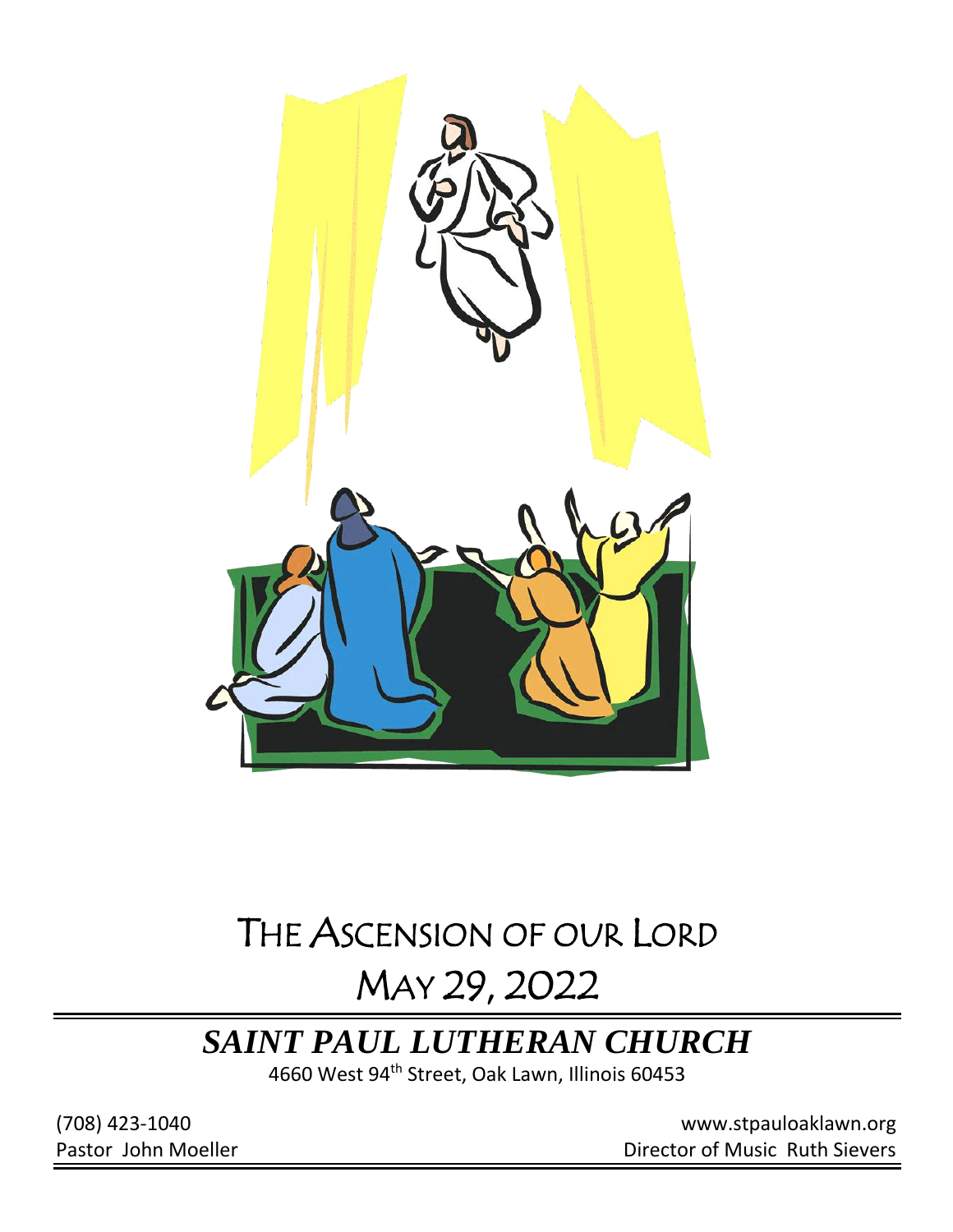

# THE ASCENSION OF OUR LORD

# MAY 29, 2022

## *SAINT PAUL LUTHERAN CHURCH*

4660 West 94th Street, Oak Lawn, Illinois 60453

(708) 423-1040 [www.stpauloaklawn.org](about:blank) Pastor John Moeller **Director of Music Ruth Sievers**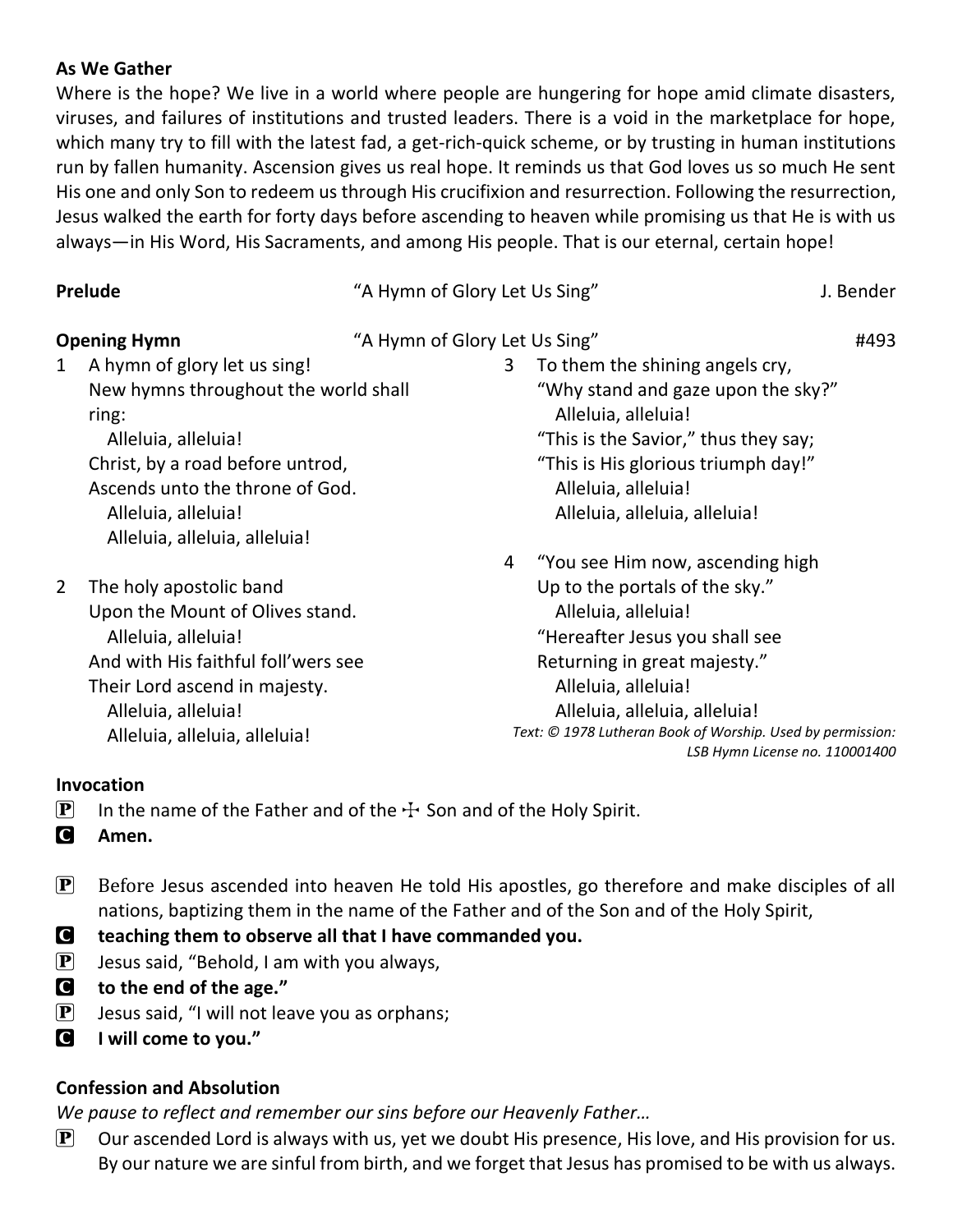### **As We Gather**

Where is the hope? We live in a world where people are hungering for hope amid climate disasters, viruses, and failures of institutions and trusted leaders. There is a void in the marketplace for hope, which many try to fill with the latest fad, a get-rich-quick scheme, or by trusting in human institutions run by fallen humanity. Ascension gives us real hope. It reminds us that God loves us so much He sent His one and only Son to redeem us through His crucifixion and resurrection. Following the resurrection, Jesus walked the earth for forty days before ascending to heaven while promising us that He is with us always—in His Word, His Sacraments, and among His people. That is our eternal, certain hope!

| Prelude             |                                               | "A Hymn of Glory Let Us Sing" |                                                                                              | J. Bender |
|---------------------|-----------------------------------------------|-------------------------------|----------------------------------------------------------------------------------------------|-----------|
| <b>Opening Hymn</b> |                                               | "A Hymn of Glory Let Us Sing" |                                                                                              | #493      |
| 1                   | A hymn of glory let us sing!                  | 3                             | To them the shining angels cry,                                                              |           |
|                     | New hymns throughout the world shall<br>ring: |                               | "Why stand and gaze upon the sky?"<br>Alleluia, alleluia!                                    |           |
|                     | Alleluia, alleluia!                           |                               | "This is the Savior," thus they say;                                                         |           |
|                     | Christ, by a road before untrod,              |                               | "This is His glorious triumph day!"                                                          |           |
|                     | Ascends unto the throne of God.               |                               | Alleluia, alleluia!                                                                          |           |
|                     | Alleluia, alleluia!                           |                               | Alleluia, alleluia, alleluia!                                                                |           |
|                     | Alleluia, alleluia, alleluia!                 |                               |                                                                                              |           |
|                     |                                               | 4                             | "You see Him now, ascending high                                                             |           |
| 2                   | The holy apostolic band                       |                               | Up to the portals of the sky."                                                               |           |
|                     | Upon the Mount of Olives stand.               |                               | Alleluia, alleluia!                                                                          |           |
|                     | Alleluia, alleluia!                           |                               | "Hereafter Jesus you shall see                                                               |           |
|                     | And with His faithful foll'wers see           |                               | Returning in great majesty."                                                                 |           |
|                     | Their Lord ascend in majesty.                 |                               | Alleluia, alleluia!                                                                          |           |
|                     | Alleluia, alleluia!                           |                               | Alleluia, alleluia, alleluia!                                                                |           |
|                     | Alleluia, alleluia, alleluia!                 |                               | Text: © 1978 Lutheran Book of Worship. Used by permission:<br>LSB Hymn License no. 110001400 |           |

### **Invocation**

- **P** In the name of the Father and of the  $\pm$  Son and of the Holy Spirit.
- C **Amen.**
- $\mathbf{P}$  Before Jesus ascended into heaven He told His apostles, go therefore and make disciples of all nations, baptizing them in the name of the Father and of the Son and of the Holy Spirit,
- C **teaching them to observe all that I have commanded you.**
- $\left[ \mathbf{P} \right]$  Jesus said, "Behold, I am with you always,
- C **to the end of the age."**
- $\mathbf{P}$  Jesus said, "I will not leave you as orphans;
- C **I will come to you."**

## **Confession and Absolution**

*We pause to reflect and remember our sins before our Heavenly Father…*

 $\mathbf{P}$  Our ascended Lord is always with us, yet we doubt His presence, His love, and His provision for us. By our nature we are sinful from birth, and we forget that Jesus has promised to be with us always.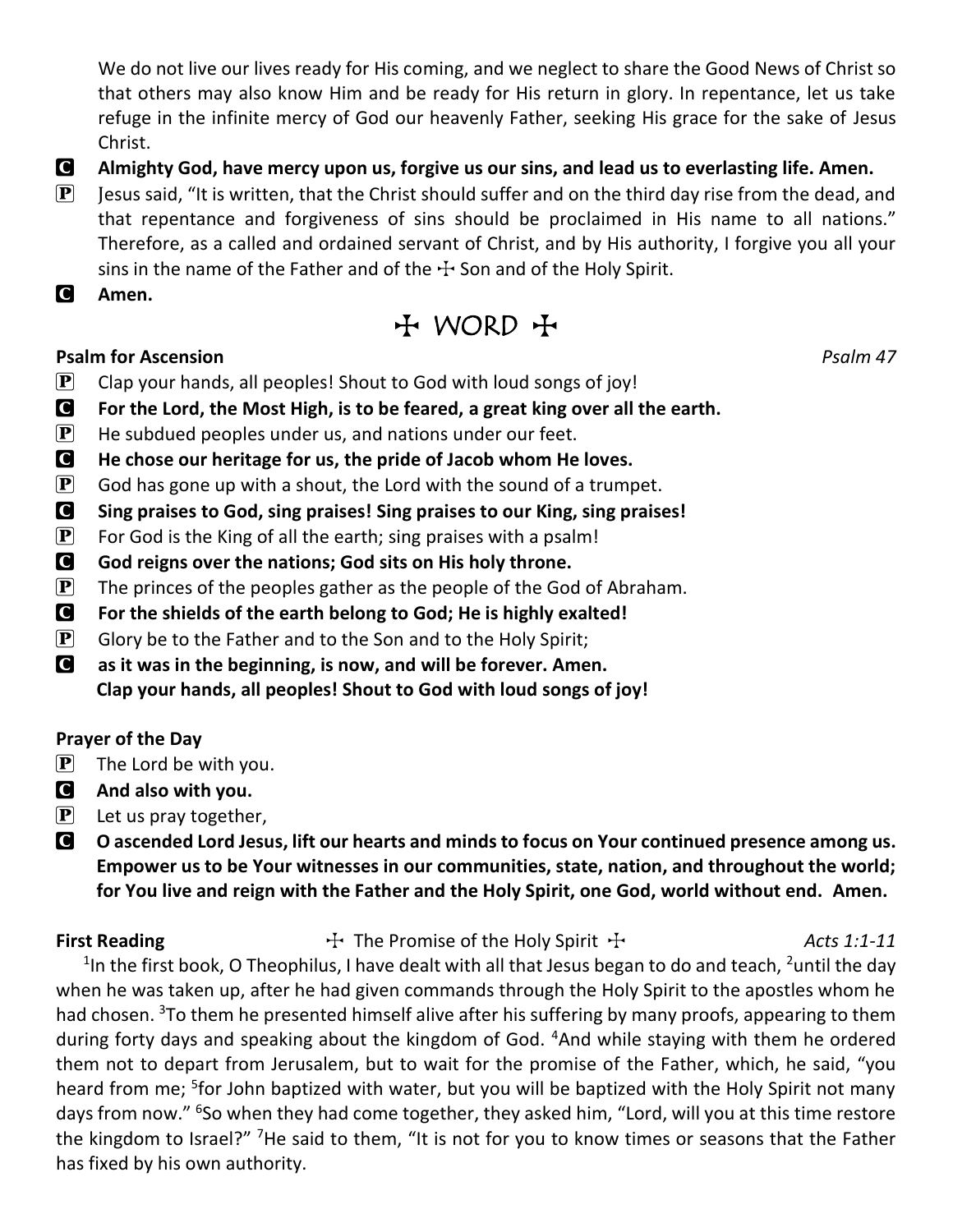We do not live our lives ready for His coming, and we neglect to share the Good News of Christ so that others may also know Him and be ready for His return in glory. In repentance, let us take refuge in the infinite mercy of God our heavenly Father, seeking His grace for the sake of Jesus Christ.

- C **Almighty God, have mercy upon us, forgive us our sins, and lead us to everlasting life. Amen.**
- **P** Jesus said, "It is written, that the Christ should suffer and on the third day rise from the dead, and that repentance and forgiveness of sins should be proclaimed in His name to all nations." Therefore, as a called and ordained servant of Christ, and by His authority, I forgive you all your sins in the name of the Father and of the  $\pm$  Son and of the Holy Spirit.

C **Amen.**

## $H$  WORD  $H$

### **Psalm for Ascension** *Psalm 47*

- $\mathbf{P}$  Clap your hands, all peoples! Shout to God with loud songs of joy!
- C **For the Lord, the Most High, is to be feared, a great king over all the earth.**
- $\mathbf{P}$  He subdued peoples under us, and nations under our feet.
- C **He chose our heritage for us, the pride of Jacob whom He loves.**
- $\mathbf{P}$  God has gone up with a shout, the Lord with the sound of a trumpet.
- C **Sing praises to God, sing praises! Sing praises to our King, sing praises!**
- **P** For God is the King of all the earth; sing praises with a psalm!
- C **God reigns over the nations; God sits on His holy throne.**
- $\mathbf{P}$  The princes of the peoples gather as the people of the God of Abraham.
- C **For the shields of the earth belong to God; He is highly exalted!**
- $\mathbf{P}$  Glory be to the Father and to the Son and to the Holy Spirit;
- C **as it was in the beginning, is now, and will be forever. Amen. Clap your hands, all peoples! Shout to God with loud songs of joy!**

### **Prayer of the Day**

- $\left[\mathbf{P}\right]$  The Lord be with you.
- C **And also with you.**
- $\left| \mathbf{P} \right|$  Let us pray together,
- C **O ascended Lord Jesus, lift our hearts and minds to focus on Your continued presence among us. Empower us to be Your witnesses in our communities, state, nation, and throughout the world; for You live and reign with the Father and the Holy Spirit, one God, world without end. Amen.**

**First Reading**  $\ddot{\textbf{F}}$  The Promise of the Holy Spirit  $\ddot{\textbf{F}}$  *Acts 1:1-11* <sup>1</sup>In the first book, O Theophilus, I have dealt with all that Jesus began to do and teach, <sup>2</sup>until the day when he was taken up, after he had given commands through the Holy Spirit to the apostles whom he had chosen. <sup>3</sup>To them he presented himself alive after his suffering by many proofs, appearing to them during forty days and speaking about the kingdom of God. <sup>4</sup>And while staying with them he ordered them not to depart from Jerusalem, but to wait for the promise of the Father, which, he said, "you heard from me; <sup>5</sup>for John baptized with water, but you will be baptized with the Holy Spirit not many days from now." <sup>6</sup>So when they had come together, they asked him, "Lord, will you at this time restore the kingdom to Israel?" <sup>7</sup>He said to them, "It is not for you to know times or seasons that the Father has fixed by his own authority.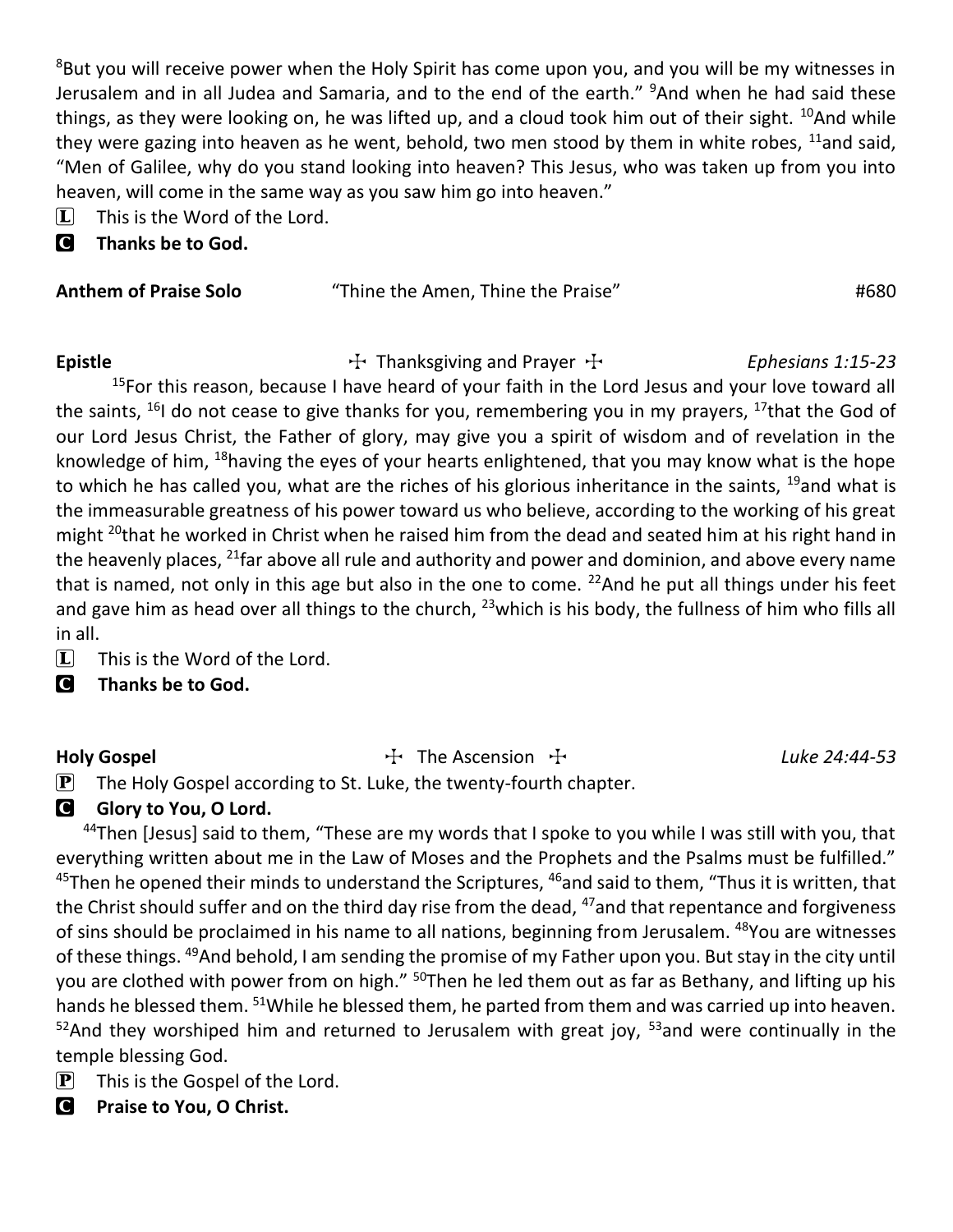<sup>8</sup>But you will receive power when the Holy Spirit has come upon you, and you will be my witnesses in Jerusalem and in all Judea and Samaria, and to the end of the earth." <sup>9</sup>And when he had said these things, as they were looking on, he was lifted up, and a cloud took him out of their sight.  $^{10}$ And while they were gazing into heaven as he went, behold, two men stood by them in white robes,  $^{11}$ and said, "Men of Galilee, why do you stand looking into heaven? This Jesus, who was taken up from you into heaven, will come in the same way as you saw him go into heaven."

- $\Box$  This is the Word of the Lord.
- C **Thanks be to God.**

| <b>Anthem of Praise Solo</b> | "Thine the Amen, Thine the Praise" | #680 |
|------------------------------|------------------------------------|------|
|                              |                                    |      |

Epistle **Thanksgiving and Prayer Thankstrip Ephesians 1:15-23** 

<sup>15</sup>For this reason, because I have heard of your faith in the Lord Jesus and your love toward all the saints,  $^{16}$ I do not cease to give thanks for you, remembering you in my prayers,  $^{17}$ that the God of our Lord Jesus Christ, the Father of glory, may give you a spirit of wisdom and of revelation in the knowledge of him, <sup>18</sup>having the eyes of your hearts enlightened, that you may know what is the hope to which he has called you, what are the riches of his glorious inheritance in the saints,  $^{19}$ and what is the immeasurable greatness of his power toward us who believe, according to the working of his great might <sup>20</sup>that he worked in Christ when he raised him from the dead and seated him at his right hand in the heavenly places, <sup>21</sup>far above all rule and authority and power and dominion, and above every name that is named, not only in this age but also in the one to come.  $22$ And he put all things under his feet and gave him as head over all things to the church,  $^{23}$ which is his body, the fullness of him who fills all in all.

 $\boxed{\mathbf{L}}$  This is the Word of the Lord.

C **Thanks be to God.**

### Holy Gospel **The Ascension T** The Ascension T *Luke 24:44-53*

 $\mathbf{P}$  The Holy Gospel according to St. Luke, the twenty-fourth chapter.

### **G** Glory to You, O Lord.

<sup>44</sup>Then [Jesus] said to them, "These are my words that I spoke to you while I was still with you, that everything written about me in the Law of Moses and the Prophets and the Psalms must be fulfilled."  $45$ Then he opened their minds to understand the Scriptures,  $46$  and said to them, "Thus it is written, that the Christ should suffer and on the third day rise from the dead,  $47$  and that repentance and forgiveness of sins should be proclaimed in his name to all nations, beginning from Jerusalem. <sup>48</sup>You are witnesses of these things. <sup>49</sup>And behold, I am sending the promise of my Father upon you. But stay in the city until you are clothed with power from on high." <sup>50</sup>Then he led them out as far as Bethany, and lifting up his hands he blessed them. <sup>51</sup>While he blessed them, he parted from them and was carried up into heaven.  $52$ And they worshiped him and returned to Jerusalem with great joy,  $53$  and were continually in the temple blessing God.

- $\left| \mathbf{P} \right|$  This is the Gospel of the Lord.
- C **Praise to You, O Christ.**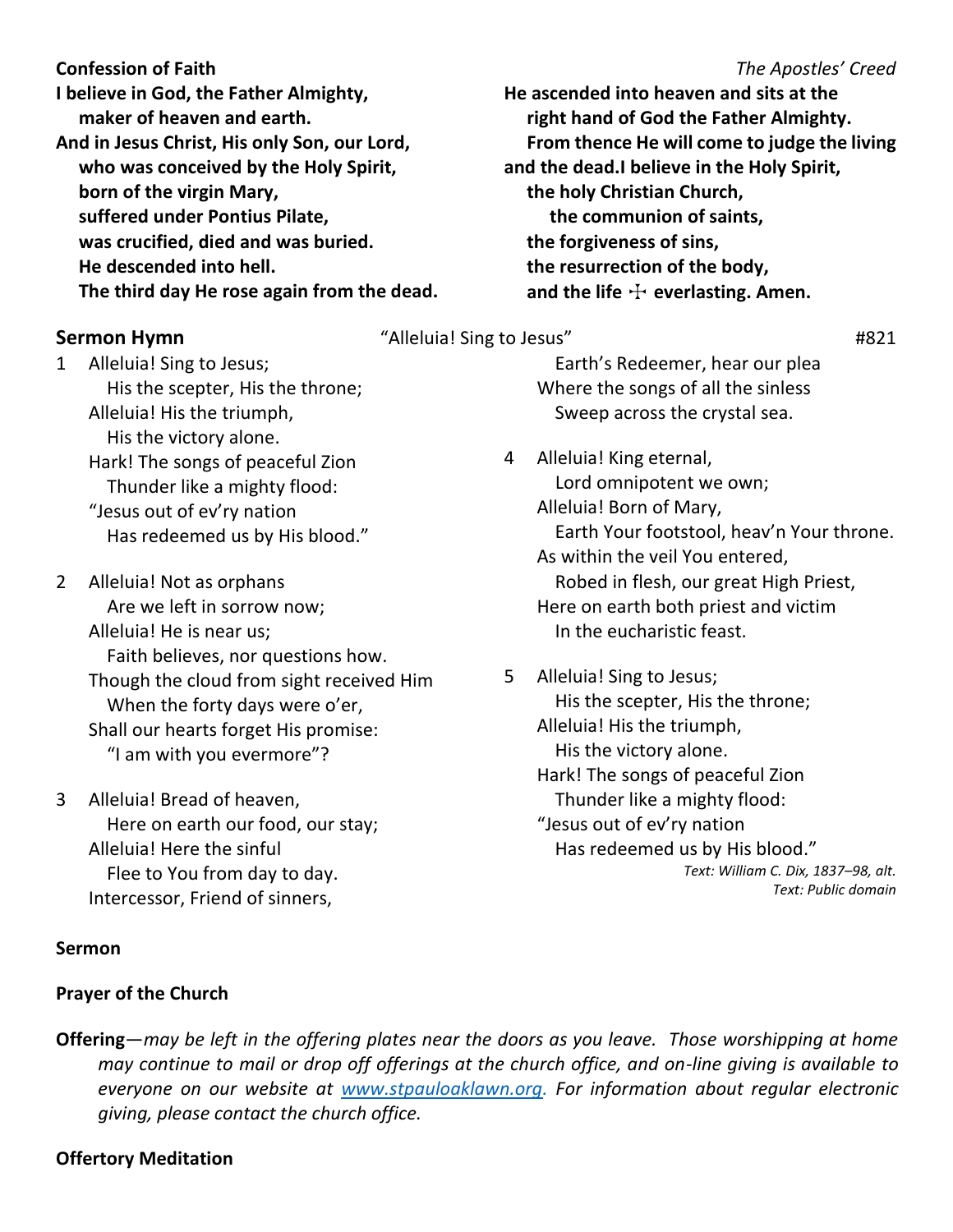**Confession of Faith** *The Apostles' Creed*

**I believe in God, the Father Almighty, maker of heaven and earth. And in Jesus Christ, His only Son, our Lord, who was conceived by the Holy Spirit, born of the virgin Mary, suffered under Pontius Pilate, was crucified, died and was buried. He descended into hell. The third day He rose again from the dead.**

1 Alleluia! Sing to Jesus; His the scepter, His the throne; Alleluia! His the triumph, His the victory alone. Hark! The songs of peaceful Zion Thunder like a mighty flood: "Jesus out of ev'ry nation Has redeemed us by His blood."

- 2 Alleluia! Not as orphans Are we left in sorrow now; Alleluia! He is near us; Faith believes, nor questions how. Though the cloud from sight received Him When the forty days were o'er, Shall our hearts forget His promise: "I am with you evermore"?
- 3 Alleluia! Bread of heaven, Here on earth our food, our stay; Alleluia! Here the sinful Flee to You from day to day. Intercessor, Friend of sinners,

### **Sermon**

### **Prayer of the Church**

**He ascended into heaven and sits at the right hand of God the Father Almighty. From thence He will come to judge the living and the dead.I believe in the Holy Spirit, the holy Christian Church, the communion of saints, the forgiveness of sins, the resurrection of the body,** and the life  $\pm$  everlasting. Amen.

### **Sermon Hymn** #821  $\mu$  "Alleluia! Sing to Jesus"  $\mu$  #821

 Earth's Redeemer, hear our plea Where the songs of all the sinless Sweep across the crystal sea.

4 Alleluia! King eternal, Lord omnipotent we own; Alleluia! Born of Mary, Earth Your footstool, heav'n Your throne. As within the veil You entered, Robed in flesh, our great High Priest, Here on earth both priest and victim In the eucharistic feast.

5 Alleluia! Sing to Jesus; His the scepter, His the throne; Alleluia! His the triumph, His the victory alone. Hark! The songs of peaceful Zion Thunder like a mighty flood: "Jesus out of ev'ry nation Has redeemed us by His blood." *Text: William C. Dix, 1837–98, alt. Text: Public domain*

**Offering**—*may be left in the offering plates near the doors as you leave. Those worshipping at home may continue to mail or drop off offerings at the church office, and on-line giving is available to everyone on our website at [www.stpauloaklawn.org.](http://www.stpauloaklawn.org/) For information about regular electronic giving, please contact the church office.* 

### **Offertory Meditation**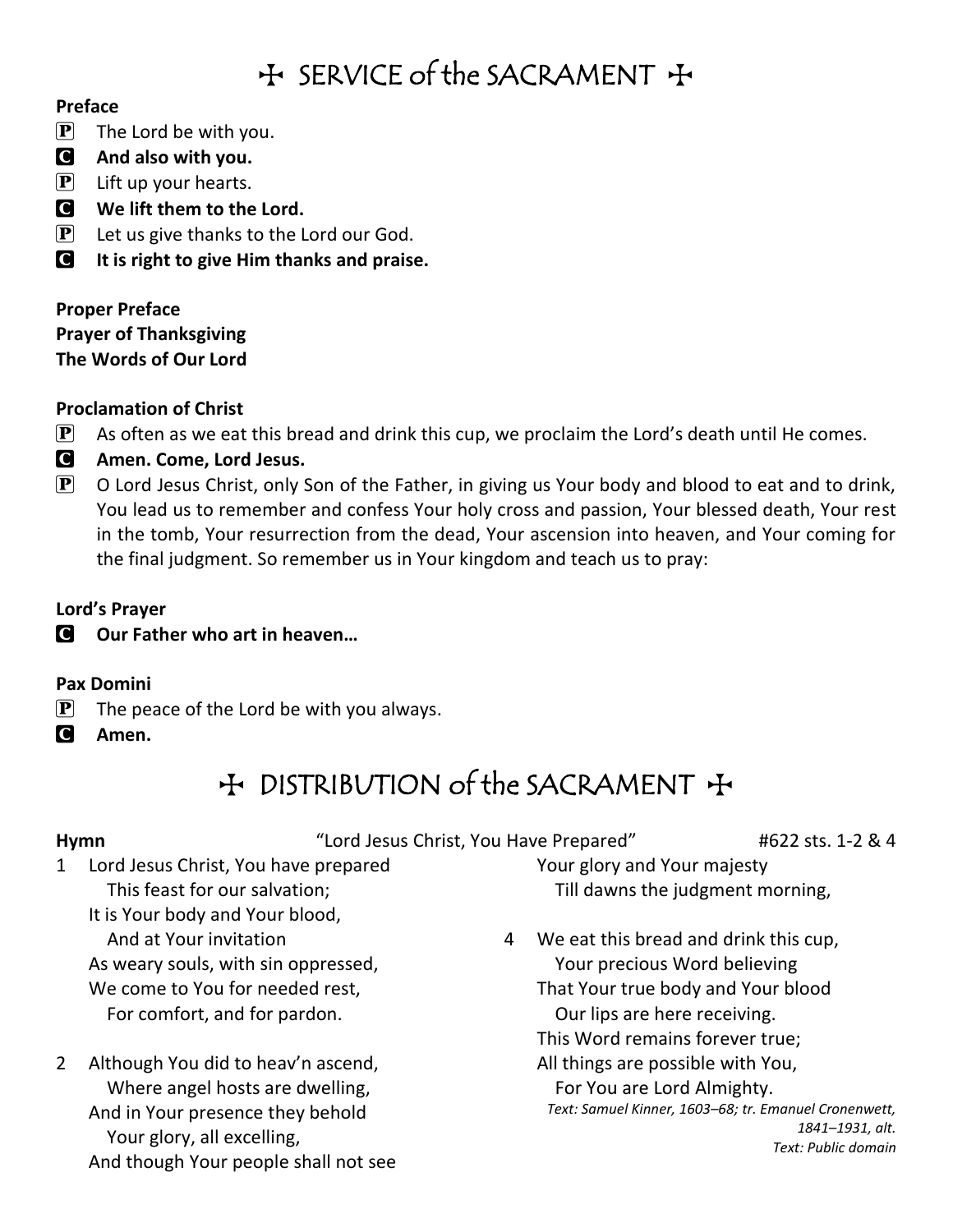## $H$  SERVICE of the SACRAMENT  $H$

### **Preface**

 $\mathbf{P}$  The Lord be with you.

- C **And also with you.**
- $\left| \mathbf{P} \right|$  Lift up your hearts.
- C **We lift them to the Lord.**
- $\mathbf{P}$  Let us give thanks to the Lord our God.
- C **It is right to give Him thanks and praise.**

**Proper Preface Prayer of Thanksgiving The Words of Our Lord**

### **Proclamation of Christ**

- $\mathbf{P}$  As often as we eat this bread and drink this cup, we proclaim the Lord's death until He comes.
- C **Amen. Come, Lord Jesus.**
- $\mathbf{P}$  O Lord Jesus Christ, only Son of the Father, in giving us Your body and blood to eat and to drink, You lead us to remember and confess Your holy cross and passion, Your blessed death, Your rest in the tomb, Your resurrection from the dead, Your ascension into heaven, and Your coming for the final judgment. So remember us in Your kingdom and teach us to pray:

### **Lord's Prayer**

C **Our Father who art in heaven…**

### **Pax Domini**

- $\mathbf{P}$  The peace of the Lord be with you always.
- C **Amen.**

## + DISTRIBUTION of the SACRAMENT +

**Hymn**  $\qquad$  "Lord Jesus Christ, You Have Prepared"  $\qquad$  #622 sts. 1-2 & 4

- 1 Lord Jesus Christ, You have prepared This feast for our salvation; It is Your body and Your blood, And at Your invitation As weary souls, with sin oppressed, We come to You for needed rest, For comfort, and for pardon.
- 2 Although You did to heav'n ascend, Where angel hosts are dwelling, And in Your presence they behold Your glory, all excelling, And though Your people shall not see

Your glory and Your majesty Till dawns the judgment morning,

4 We eat this bread and drink this cup, Your precious Word believing That Your true body and Your blood Our lips are here receiving. This Word remains forever true; All things are possible with You, For You are Lord Almighty. *Text: Samuel Kinner, 1603–68; tr. Emanuel Cronenwett, 1841–1931, alt.*

*Text: Public domain*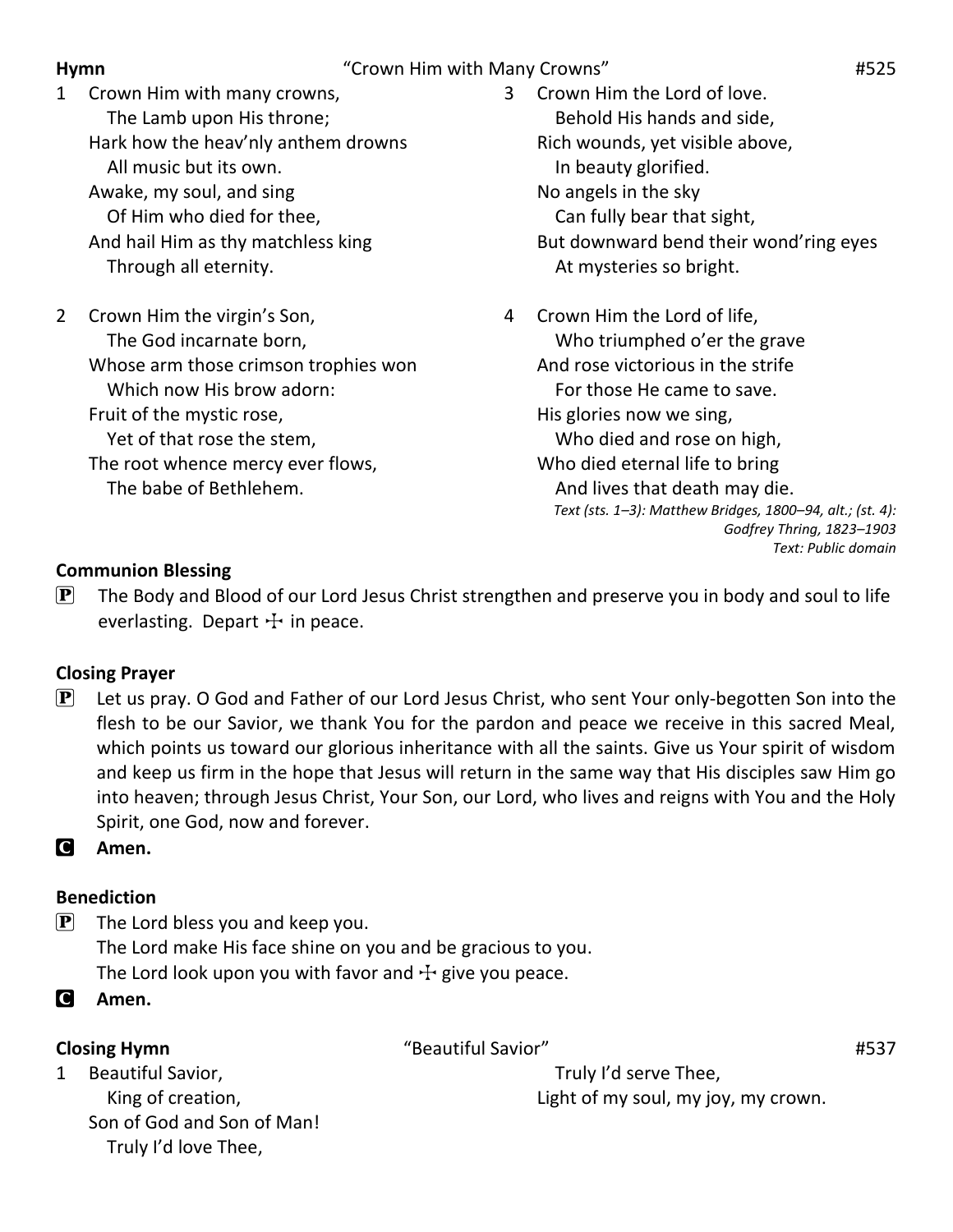### **Hymn Hymn Him with Many Crowns "Crown Him with Many Crowns" 1525**

- 1 Crown Him with many crowns, The Lamb upon His throne; Hark how the heav'nly anthem drowns All music but its own. Awake, my soul, and sing Of Him who died for thee, And hail Him as thy matchless king Through all eternity.
- 2 Crown Him the virgin's Son, The God incarnate born, Whose arm those crimson trophies won Which now His brow adorn: Fruit of the mystic rose, Yet of that rose the stem, The root whence mercy ever flows, The babe of Bethlehem.
- 3 Crown Him the Lord of love. Behold His hands and side, Rich wounds, yet visible above, In beauty glorified. No angels in the sky Can fully bear that sight, But downward bend their wond'ring eyes At mysteries so bright.
- 4 Crown Him the Lord of life, Who triumphed o'er the grave And rose victorious in the strife For those He came to save. His glories now we sing, Who died and rose on high, Who died eternal life to bring And lives that death may die. *Text (sts. 1–3): Matthew Bridges, 1800–94, alt.; (st. 4): Godfrey Thring, 1823–1903 Text: Public domain*

### **Communion Blessing**

 $\left[ \mathbf{P} \right]$  The Body and Blood of our Lord Jesus Christ strengthen and preserve you in body and soul to life everlasting. Depart  $\pm$  in peace.

### **Closing Prayer**

 $\left| \mathbf{P} \right|$  Let us pray. O God and Father of our Lord Jesus Christ, who sent Your only-begotten Son into the flesh to be our Savior, we thank You for the pardon and peace we receive in this sacred Meal, which points us toward our glorious inheritance with all the saints. Give us Your spirit of wisdom and keep us firm in the hope that Jesus will return in the same way that His disciples saw Him go into heaven; through Jesus Christ, Your Son, our Lord, who lives and reigns with You and the Holy Spirit, one God, now and forever.

C **Amen.**

### **Benediction**

 $\left| \mathbf{P} \right|$  The Lord bless you and keep you. The Lord make His face shine on you and be gracious to you. The Lord look upon you with favor and  $\pm$  give you peace.

C **Amen.**

**Closing Hymn** #537

1 Beautiful Savior, King of creation, Son of God and Son of Man! Truly I'd love Thee,

 Truly I'd serve Thee, Light of my soul, my joy, my crown.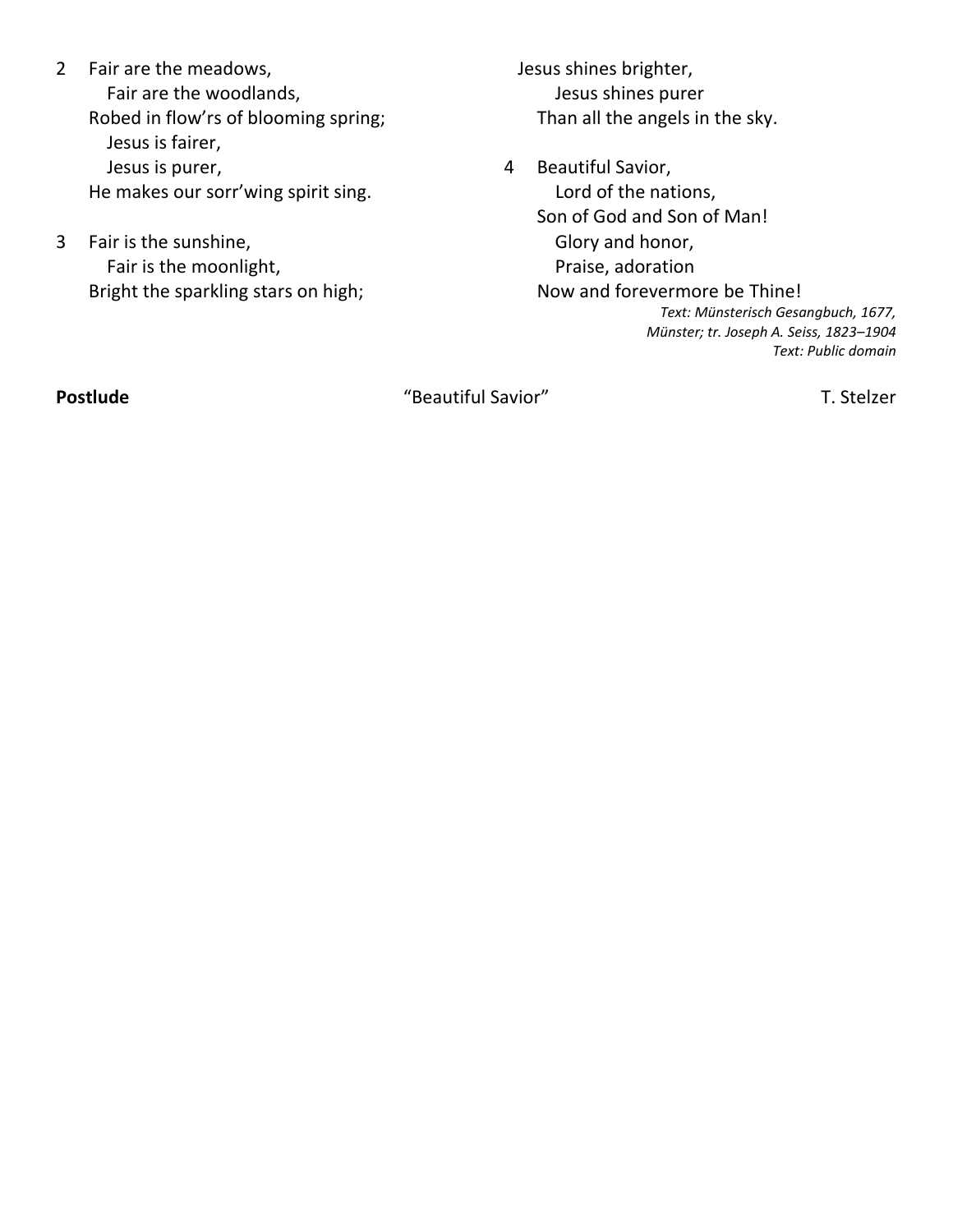- 2 Fair are the meadows, Fair are the woodlands, Robed in flow'rs of blooming spring; Jesus is fairer, Jesus is purer, He makes our sorr'wing spirit sing.
- 3 Fair is the sunshine, Fair is the moonlight, Bright the sparkling stars on high;

 Jesus shines brighter, Jesus shines purer Than all the angels in the sky.

4 Beautiful Savior, Lord of the nations, Son of God and Son of Man! Glory and honor, Praise, adoration Now and forevermore be Thine! *Text: Münsterisch Gesangbuch, 1677, Münster; tr. Joseph A. Seiss, 1823–1904 Text: Public domain*

**Postlude** T. Stelzer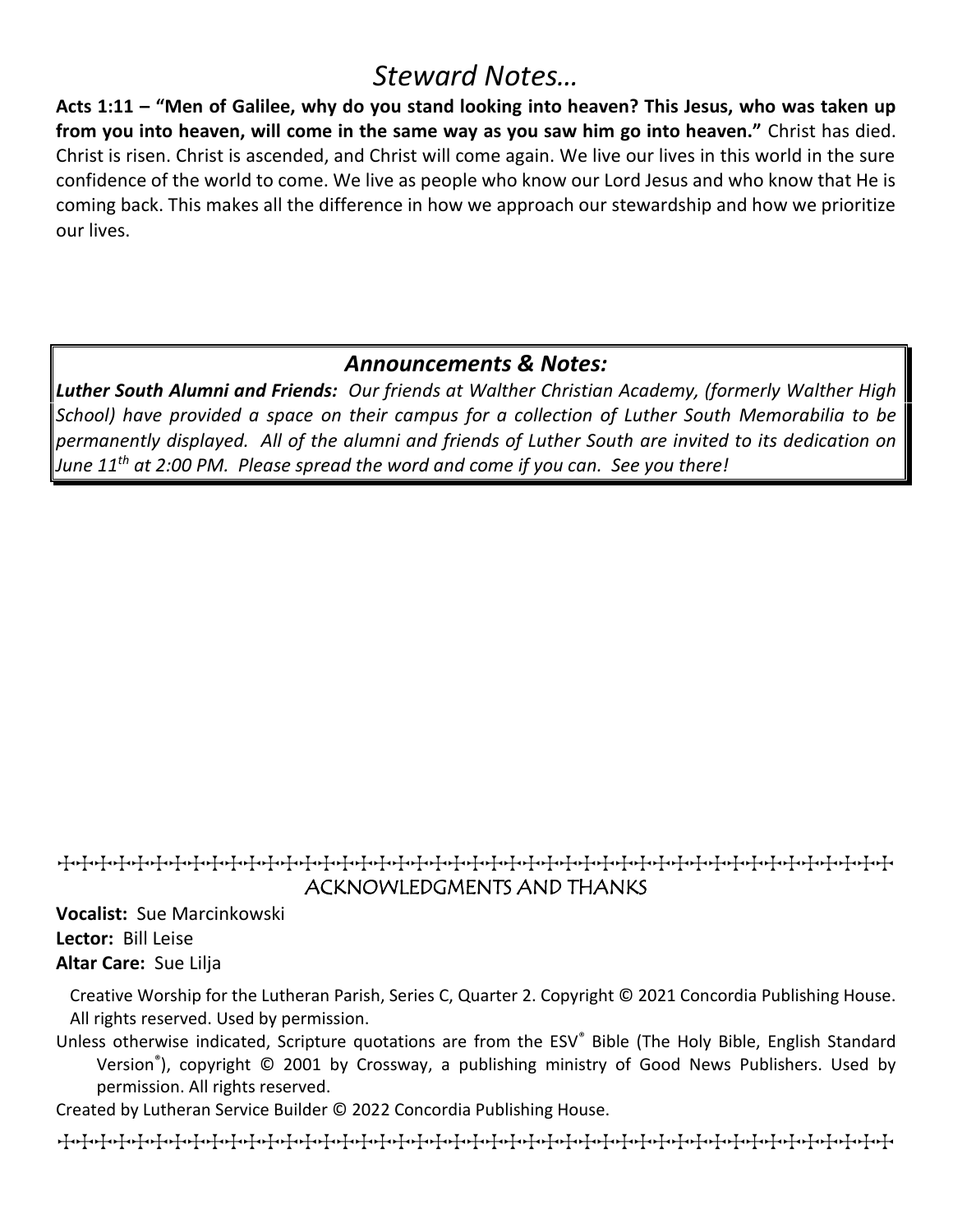## *Steward Notes…*

**Acts 1:11 – "Men of Galilee, why do you stand looking into heaven? This Jesus, who was taken up from you into heaven, will come in the same way as you saw him go into heaven."** Christ has died. Christ is risen. Christ is ascended, and Christ will come again. We live our lives in this world in the sure confidence of the world to come. We live as people who know our Lord Jesus and who know that He is coming back. This makes all the difference in how we approach our stewardship and how we prioritize our lives.

### *Announcements & Notes:*

*Luther South Alumni and Friends: Our friends at Walther Christian Academy, (formerly Walther High School) have provided a space on their campus for a collection of Luther South Memorabilia to be permanently displayed. All of the alumni and friends of Luther South are invited to its dedication on June 11th at 2:00 PM. Please spread the word and come if you can. See you there!*

### TTTTTTTTTTTTTTTTTTTTTTTTTTTTTTTTTTTTTTTTTTTTT ACKNOWLEDGMENTS AND THANKS

**Vocalist:** Sue Marcinkowski **Lector:** Bill Leise **Altar Care:** Sue Lilja

Creative Worship for the Lutheran Parish, Series C, Quarter 2. Copyright © 2021 Concordia Publishing House. All rights reserved. Used by permission.

Unless otherwise indicated, Scripture quotations are from the ESV® Bible (The Holy Bible, English Standard Version® ), copyright © 2001 by Crossway, a publishing ministry of Good News Publishers. Used by permission. All rights reserved.

Created by Lutheran Service Builder © 2022 Concordia Publishing House.

TTTTTTTTTTTTTTTTTTTTTTTTTTTTTTTTTTTTTTTTTTTTT